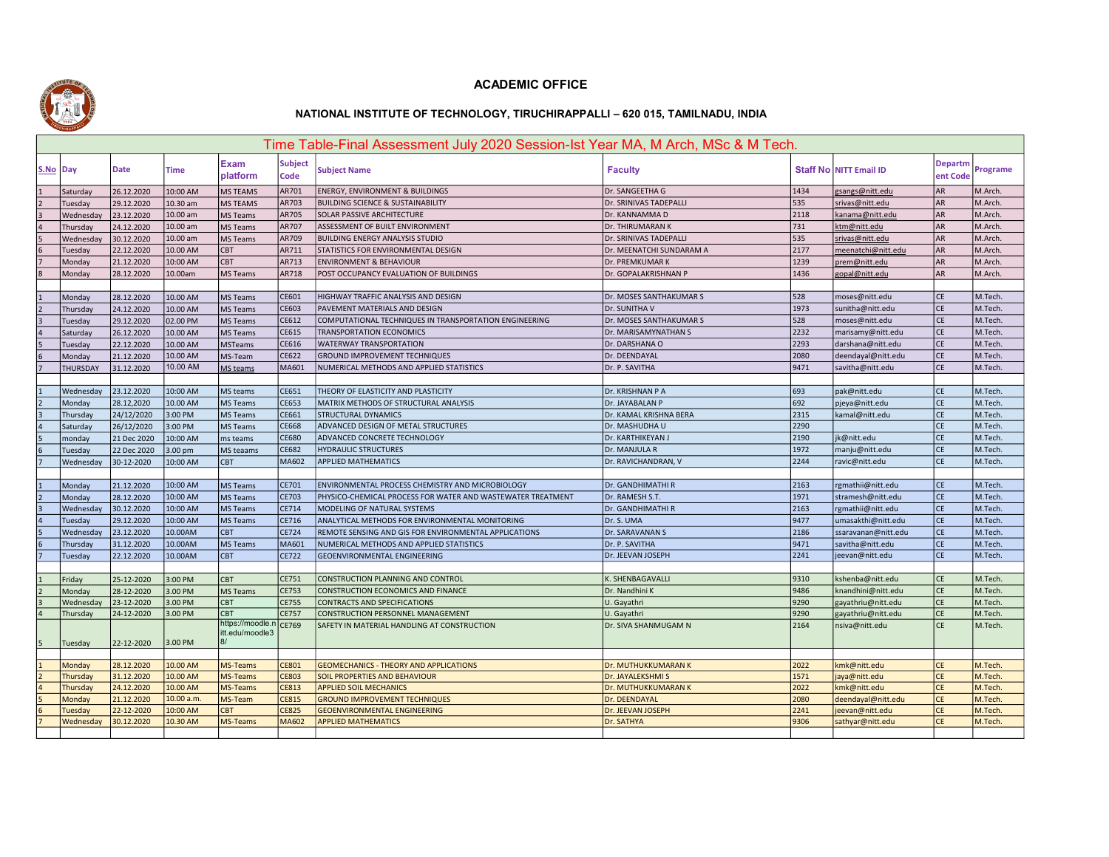

## ACADEMIC OFFICE

## NATIONAL INSTITUTE OF TECHNOLOGY, TIRUCHIRAPPALLI – 620 015, TAMILNADU, INDIA

|                                  | Time Table-Final Assessment July 2020 Session-Ist Year MA, M Arch, MSc & M Tech. |                          |                        |                         |                              |                                                                   |                                    |              |                               |                            |                    |  |
|----------------------------------|----------------------------------------------------------------------------------|--------------------------|------------------------|-------------------------|------------------------------|-------------------------------------------------------------------|------------------------------------|--------------|-------------------------------|----------------------------|--------------------|--|
| S.No Day                         |                                                                                  | <b>Date</b>              | <b>Time</b>            | <b>Exam</b><br>platform | <b>Subject</b><br>Code       | <b>Subject Name</b>                                               | <b>Faculty</b>                     |              | <b>Staff No NITT Email ID</b> | <b>Departm</b><br>ent Code | Programe           |  |
| 1                                | Saturday                                                                         | 26.12.2020               | 10:00 AM               | MS TEAMS                | AR701                        | <b>ENERGY, ENVIRONMENT &amp; BUILDINGS</b>                        | Dr. SANGEETHA G                    | 1434         | gsangs@nitt.edu               | AR                         | M.Arch.            |  |
| $\overline{2}$                   | Tuesday                                                                          | 29.12.2020               | 10.30 am               | <b>MS TEAMS</b>         | AR703                        | <b>BUILDING SCIENCE &amp; SUSTAINABILITY</b>                      | Dr. SRINIVAS TADEPALLI             | 535          | srivas@nitt.edu               | <b>AR</b>                  | M.Arch.            |  |
| $\vert$ <sub>3</sub>             | Wednesday                                                                        | 23.12.2020               | 10.00 am               | MS Teams                | AR705                        | SOLAR PASSIVE ARCHITECTURE                                        | Dr. KANNAMMA D                     | 2118         | kanama@nitt.edu               | AR                         | M.Arch.            |  |
| $\overline{4}$                   | Thursday                                                                         | 24.12.2020               | 10.00 am               | MS Teams                | AR707                        | ASSESSMENT OF BUILT ENVIRONMENT                                   | Dr. THIRUMARAN K                   | 731          | ktm@nitt.edu                  | <b>AR</b>                  | M.Arch.            |  |
| l5                               | Wednesday                                                                        | 30.12.2020               | 10.00 am               | <b>MS Teams</b>         | AR709                        | BUILDING ENERGY ANALYSIS STUDIO                                   | Dr. SRINIVAS TADEPALLI             | 535          | srivas@nitt.edu               | AR                         | M.Arch.            |  |
| 6                                | Tuesday                                                                          | 22.12.2020               | 10.00 AM               | CBT                     | AR711                        | STATISTICS FOR ENVIRONMENTAL DESIGN                               | Dr. MEENATCHI SUNDARAM A           | 2177         | meenatchi@nitt.edu            | AR                         | M.Arch.            |  |
| 17                               | Monday                                                                           | 21.12.2020               | 10:00 AM               | CBT                     | AR713                        | <b>ENVIRONMENT &amp; BEHAVIOUR</b>                                | Dr. PREMKUMAR K                    | 1239         | prem@nitt.edu                 | <b>AR</b>                  | M.Arch.            |  |
| l8                               | Monday                                                                           | 28.12.2020               | 10.00am                | <b>MS Teams</b>         | AR718                        | POST OCCUPANCY EVALUATION OF BUILDINGS                            | Dr. GOPALAKRISHNAN P               | 1436         | gopal@nitt.edu                | <b>AR</b>                  | M.Arch.            |  |
|                                  |                                                                                  |                          |                        |                         |                              |                                                                   |                                    |              |                               |                            |                    |  |
| $\mathbf{1}$                     | Monday                                                                           | 28.12.2020               | 10.00 AM               | <b>MS Teams</b>         | CE601                        | HIGHWAY TRAFFIC ANALYSIS AND DESIGN                               | Dr. MOSES SANTHAKUMAR S            | 528          | moses@nitt.edu                | <b>CE</b>                  | M.Tech.            |  |
| $\overline{2}$                   | Thursday                                                                         | 24.12.2020               | 10.00 AM               | MS Teams                | CE603                        | PAVEMENT MATERIALS AND DESIGN                                     | Dr. SUNITHA V                      | 1973         | sunitha@nitt.edu              | <b>CE</b>                  | M.Tech.            |  |
| $\overline{3}$                   | Tuesday                                                                          | 29.12.2020               | 02.00 PM               | MS Teams                | CE612                        | COMPUTATIONAL TECHNIQUES IN TRANSPORTATION ENGINEERING            | Dr. MOSES SANTHAKUMAR S            | 528          | moses@nitt.edu                | CE                         | M.Tech.            |  |
| $\overline{4}$                   | Saturday                                                                         | 26.12.2020               | 10.00 AM               | MS Teams                | CE615                        | <b>TRANSPORTATION ECONOMICS</b>                                   | Dr. MARISAMYNATHAN S               | 2232         | marisamy@nitt.edu             | <b>CE</b>                  | M.Tech.            |  |
| 5                                | Tuesday                                                                          | 22.12.2020               | 10.00 AM               | <b>MSTeams</b>          | CE616                        | WATERWAY TRANSPORTATION                                           | Dr. DARSHANA O                     | 2293         | darshana@nitt.edu             | <b>CE</b>                  | M.Tech             |  |
| $6\overline{6}$                  | Monday                                                                           | 21.12.2020               | 10.00 AM               | MS-Team                 | CE622                        | <b>GROUND IMPROVEMENT TECHNIQUES</b>                              | Dr. DEENDAYAL                      | 2080         | deendayal@nitt.edu            | <b>CE</b>                  | M.Tech.            |  |
| $\overline{7}$                   | <b>THURSDAY</b>                                                                  | 31.12.2020               | 10.00 AM               | MS teams                | MA601                        | NUMERICAL METHODS AND APPLIED STATISTICS                          | Dr. P. SAVITHA                     | 9471         | savitha@nitt.edu              | <b>CE</b>                  | M.Tech             |  |
|                                  |                                                                                  |                          |                        |                         |                              |                                                                   |                                    |              |                               |                            |                    |  |
|                                  | Wednesday                                                                        | 23.12.2020               | 10:00 AM               | MS teams                | CE651                        | THEORY OF ELASTICITY AND PLASTICITY                               | Dr. KRISHNAN P A                   | 693          | pak@nitt.edu                  | <b>CE</b>                  | M.Tech.            |  |
| 2                                | Monday                                                                           | 28.12,2020               | 10.00 AM               | MS Teams                | CE653                        | MATRIX METHODS OF STRUCTURAL ANALYSIS                             | Dr. JAYABALAN P                    | 692          | pjeya@nitt.edu                | <b>CE</b>                  | M.Tech             |  |
| l <sub>3</sub>                   | Thursday                                                                         | 24/12/2020               | 3:00 PM                | MS Teams                | CE661                        | <b>STRUCTURAL DYNAMICS</b>                                        | Dr. KAMAL KRISHNA BERA             | 2315         | kamal@nitt.edu                | <b>CE</b>                  | M.Tech             |  |
| $\overline{4}$                   | Saturday                                                                         | 26/12/2020               | 3:00 PM                | MS Teams                | CE668                        | ADVANCED DESIGN OF METAL STRUCTURES                               | Dr. MASHUDHA U                     | 2290         |                               | <b>CE</b>                  | M.Tech             |  |
| $\overline{5}$                   | monday                                                                           | 21 Dec 2020              | 10:00 AM               | ms teams                | <b>CE680</b>                 | ADVANCED CONCRETE TECHNOLOGY                                      | Dr. KARTHIKEYAN J                  | 2190         | jk@nitt.edu                   | <b>CE</b>                  | M.Tech.            |  |
| 6                                | Tuesday                                                                          | 22 Dec 2020              | 3.00 pm                | MS teaams               | CE682                        | <b>HYDRAULIC STRUCTURES</b>                                       | Dr. MANJULA R                      | 1972         | manju@nitt.edu                | <b>CE</b>                  | M.Tech.            |  |
|                                  | Wednesday                                                                        | 30-12-2020               | 10:00 AM               | <b>CBT</b>              | MA602                        | <b>APPLIED MATHEMATICS</b>                                        | Dr. RAVICHANDRAN, V                | 2244         | ravic@nitt.edu                | <b>CE</b>                  | M.Tech.            |  |
|                                  |                                                                                  |                          |                        |                         |                              |                                                                   |                                    |              |                               |                            |                    |  |
| $\overline{1}$                   | Monday                                                                           | 21.12.2020               | 10:00 AM               | <b>MS Teams</b>         | CE701                        | ENVIRONMENTAL PROCESS CHEMISTRY AND MICROBIOLOGY                  | Dr. GANDHIMATHI R                  | 2163         | rgmathii@nitt.edu             | CE                         | M.Tech.            |  |
| 2                                | Monday                                                                           | 28.12.2020               | 10:00 AM               | MS Teams                | CE703                        | PHYSICO-CHEMICAL PROCESS FOR WATER AND WASTEWATER TREATMENT       | Dr. RAMESH S.T.                    | 1971         | stramesh@nitt.edu             | <b>CE</b>                  | M.Tech             |  |
| $\overline{\mathbf{3}}$          | Wednesday                                                                        | 30.12.2020               | 10:00 AM               | MS Teams                | CE714                        | MODELING OF NATURAL SYSTEMS                                       | Dr. GANDHIMATHI R                  | 2163         | rgmathii@nitt.edu             | <b>CE</b>                  | M.Tech.            |  |
| $\overline{a}$                   | Tuesday                                                                          | 29.12.2020               | 10:00 AM               | MS Teams                | CE716                        | ANALYTICAL METHODS FOR ENVIRONMENTAL MONITORING                   | Dr. S. UMA                         | 9477         | umasakthi@nitt.edu            | CE                         | M.Tech.            |  |
| 5                                | Wednesday                                                                        | 23.12.2020               | 10.00AM                | <b>CBT</b>              | CE724                        | REMOTE SENSING AND GIS FOR ENVIRONMENTAL APPLICATIONS             | Dr. SARAVANAN S                    | 2186         | ssaravanan@nitt.edu           | <b>CE</b>                  | M.Tech.            |  |
| $6\overline{6}$                  | Thursday                                                                         | 31.12.2020               | 10.00AM                | <b>MS Teams</b>         | MA601                        | NUMERICAL METHODS AND APPLIED STATISTICS                          | Dr. P. SAVITHA                     | 9471         | savitha@nitt.edu              | <b>CE</b>                  | M.Tech.            |  |
| $\overline{7}$                   | Tuesday                                                                          | 22.12.2020               | 10.00AM                | <b>CBT</b>              | <b>CE722</b>                 | <b>GEOENVIRONMENTAL ENGINEERING</b>                               | Dr. JEEVAN JOSEPH                  | 2241         | jeevan@nitt.edu               | <b>CE</b>                  | M.Tech.            |  |
|                                  |                                                                                  |                          |                        |                         |                              |                                                                   |                                    |              |                               |                            |                    |  |
| $\mathbf{1}$                     | Friday                                                                           | 25-12-2020               | 3:00 PM                | CBT                     | CE751                        | CONSTRUCTION PLANNING AND CONTROL                                 | K. SHENBAGAVALLI                   | 9310         | kshenba@nitt.edu              | <b>CE</b>                  | M.Tech.            |  |
|                                  | Monday                                                                           | 28-12-2020               | 3.00 PM                | MS Teams                | CE753                        | CONSTRUCTION ECONOMICS AND FINANCE                                | Dr. Nandhini K                     | 9486         | knandhini@nitt.edu            | <b>CE</b>                  | M.Tech.            |  |
| $\vert$ <sub>3</sub>             | Wednesday                                                                        | 23-12-2020               | 3.00 PM                | CBT                     | CE755                        | <b>CONTRACTS AND SPECIFICATIONS</b>                               | U. Gayathri                        | 9290         | gayathriu@nitt.edu            | <b>CE</b>                  | M.Tech.            |  |
| $\overline{4}$                   | Thursday                                                                         | 24-12-2020               | 3.00 PM                | CBT                     | <b>CE757</b>                 | <b>CONSTRUCTION PERSONNEL MANAGEMENT</b>                          | U. Gayathri                        | 9290         | gayathriu@nitt.edu            | <b>CE</b>                  | M.Tech.            |  |
|                                  |                                                                                  |                          |                        | https://moodle.n        | CE769                        | SAFETY IN MATERIAL HANDLING AT CONSTRUCTION                       | Dr. SIVA SHANMUGAM N               | 2164         | nsiva@nitt.edu                | <b>CE</b>                  | M.Tech.            |  |
| 5                                | Tuesday                                                                          | 22-12-2020               | 3.00 PM                | itt.edu/moodle3         |                              |                                                                   |                                    |              |                               |                            |                    |  |
|                                  |                                                                                  |                          |                        |                         |                              |                                                                   |                                    |              |                               |                            |                    |  |
|                                  | Monday                                                                           | 28.12.2020               | 10.00 AM               | MS-Teams                | CE801                        | <b>GEOMECHANICS - THEORY AND APPLICATIONS</b>                     | Dr. MUTHUKKUMARAN K                | 2022         | kmk@nitt.edu                  | <b>CE</b>                  | M.Tech.            |  |
| $\overline{2}$<br>$\overline{a}$ | Thursday                                                                         | 31.12.2020               | 10.00 AM               | MS-Teams                | <b>CE803</b>                 | SOIL PROPERTIES AND BEHAVIOUR                                     | Dr. JAYALEKSHMIS                   | 1571         | jaya@nitt.edu                 | <b>CE</b>                  | M.Tech.            |  |
| 5                                | Thursday                                                                         | 24.12.2020               | 10.00 AM               | MS-Teams                | <b>CE813</b><br><b>CE815</b> | <b>APPLIED SOIL MECHANICS</b>                                     | Dr. MUTHUKKUMARAN K                | 2022<br>2080 | kmk@nitt.edu                  | <b>CE</b>                  | M.Tech.            |  |
| 6                                | Monday                                                                           | 21.12.2020<br>22-12-2020 | 10.00 a.m.<br>10:00 AM | MS-Team<br><b>CBT</b>   | <b>CE825</b>                 | <b>GROUND IMPROVEMENT TECHNIQUES</b>                              | Dr. DEENDAYAL<br>Dr. JEEVAN JOSEPH | 2241         | deendayal@nitt.edu            | <b>CE</b><br><b>CE</b>     | M.Tech.<br>M.Tech. |  |
|                                  | <b>Tuesday</b>                                                                   | 30.12.2020               | 10.30 AM               | MS-Teams                | MA602                        | <b>GEOENVIRONMENTAL ENGINEERING</b><br><b>APPLIED MATHEMATICS</b> | Dr. SATHYA                         | 9306         | jeevan@nitt.edu               | <b>CE</b>                  | M.Tech.            |  |
|                                  | Wednesday                                                                        |                          |                        |                         |                              |                                                                   |                                    |              | sathyar@nitt.edu              |                            |                    |  |
|                                  |                                                                                  |                          |                        |                         |                              |                                                                   |                                    |              |                               |                            |                    |  |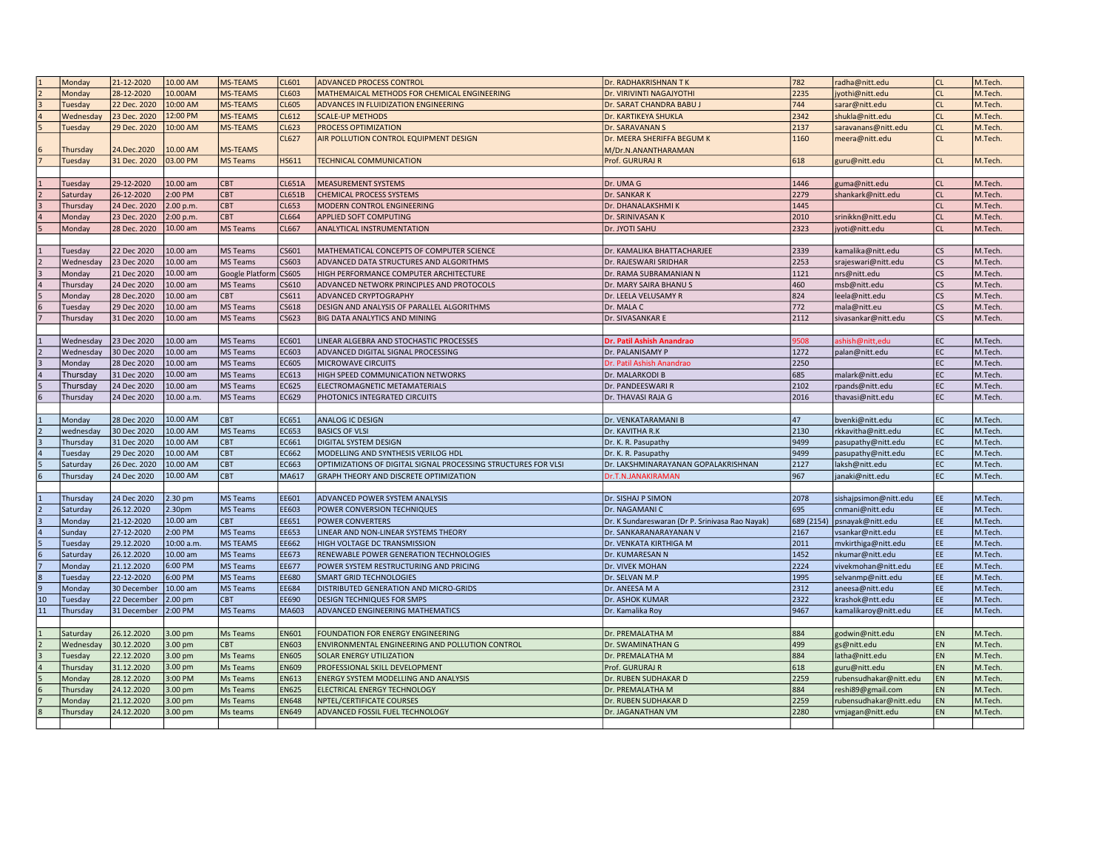|    | Monday    | 21-12-2020   | 10.00 AM           | <b>MS-TEAMS</b> | CL601         | ADVANCED PROCESS CONTROL                                       | Dr. RADHAKRISHNAN TK                            | 782  | radha@nitt.edu                | CL             | M.Tech  |
|----|-----------|--------------|--------------------|-----------------|---------------|----------------------------------------------------------------|-------------------------------------------------|------|-------------------------------|----------------|---------|
|    | Monday    | 28-12-2020   | 10.00AM            | <b>MS-TEAMS</b> | CL603         | MATHEMAICAL METHODS FOR CHEMICAL ENGINEERING                   | Dr. VIRIVINTI NAGAJYOTHI                        | 2235 | jyothi@nitt.edu               | <b>CL</b>      | M.Tech. |
| lз | Tuesday   | 22 Dec. 2020 | 10:00 AM           | <b>MS-TEAMS</b> | <b>CL605</b>  | ADVANCES IN FLUIDIZATION ENGINEERING                           | Dr. SARAT CHANDRA BABU J                        | 744  | sarar@nitt.edu                | cl             | M.Tech. |
|    | Wednesday | 23 Dec. 2020 | 12:00 PM           | <b>MS-TEAMS</b> | CL612         | <b>SCALE-UP METHODS</b>                                        | Dr. KARTIKEYA SHUKLA                            | 2342 | shukla@nitt.edu               | lcl            | M.Tech  |
|    | Tuesday   | 29 Dec. 2020 | 10:00 AM           | <b>MS-TEAMS</b> | <b>CL623</b>  | PROCESS OPTIMIZATION                                           | Dr. SARAVANAN S                                 | 2137 | saravanans@nitt.edu           | <b>CL</b>      | M.Tech. |
|    |           |              |                    |                 | CL627         | AIR POLLUTION CONTROL EQUIPMENT DESIGN                         | Dr. MEERA SHERIFFA BEGUM K                      | 1160 | meera@nitt.edu                | lcL            | M.Tech. |
|    | Thursday  | 24.Dec.2020  | 10.00 AM           | MS-TEAMS        |               |                                                                | M/Dr.N.ANANTHARAMAN                             |      |                               |                |         |
|    | Tuesday   | 31 Dec. 2020 | 03.00 PM           | <b>MS Teams</b> | <b>HS611</b>  | <b>TECHNICAL COMMUNICATION</b>                                 | Prof. GURURAJ R                                 | 618  | guru@nitt.edu                 | CL             | M.Tech. |
|    |           |              |                    |                 |               |                                                                |                                                 |      |                               |                |         |
|    | Tuesday   | 29-12-2020   | 10.00 am           | <b>CBT</b>      | <b>CL651A</b> | <b>MEASUREMENT SYSTEMS</b>                                     | Dr. UMA G                                       | 1446 | guma@nitt.edu                 | CL             | M.Tech. |
|    | Saturday  | 26-12-2020   | 2:00 PM            | CBT             | <b>CL651B</b> | <b>CHEMICAL PROCESS SYSTEMS</b>                                | Dr. SANKAR K                                    | 2279 | shankark@nitt.edu             | CL             | M.Tech  |
|    | Thursday  | 24 Dec. 2020 | 2.00 p.m.          | <b>CBT</b>      | <b>CL653</b>  | MODERN CONTROL ENGINEERING                                     | Dr. DHANALAKSHMI K                              | 1445 |                               | <b>CL</b>      | M.Tech. |
|    | Monday    | 23 Dec. 2020 | 2:00 p.m.          | <b>CBT</b>      | <b>CL664</b>  | <b>APPLIED SOFT COMPUTING</b>                                  | Dr. SRINIVASAN K                                | 2010 | srinikkn@nitt.edu             | lcl            | M.Tech  |
|    | Monday    | 28 Dec. 2020 | 10.00 am           | MS Teams        | CL667         | ANALYTICAL INSTRUMENTATION                                     | Dr. JYOTI SAHU                                  | 2323 | jyoti@nitt.edu                | <b>CL</b>      | M.Tech. |
|    |           |              |                    |                 |               |                                                                |                                                 |      |                               |                |         |
|    | Tuesday   | 22 Dec 2020  | 10.00 am           | <b>MS Teams</b> | CS601         | MATHEMATICAL CONCEPTS OF COMPUTER SCIENCE                      | Dr. KAMALIKA BHATTACHARJEE                      | 2339 | kamalika@nitt.edu             | <b>CS</b>      | M.Tech  |
|    | Wednesday | 23 Dec 2020  | 10.00 am           | <b>MS Teams</b> | CS603         | ADVANCED DATA STRUCTURES AND ALGORITHMS                        | Dr. RAJESWARI SRIDHAR                           | 2253 | srajeswari@nitt.edu           | <b>CS</b>      | M.Tech. |
|    | Monday    | 21 Dec 2020  | 10.00 am           | Google Platform | CS605         | HIGH PERFORMANCE COMPUTER ARCHITECTURE                         | Dr. RAMA SUBRAMANIAN N                          | 1121 | nrs@nitt.edu                  | lcs            | M.Tech  |
|    | Thursday  | 24 Dec 2020  | 10.00 am           | MS Teams        | CS610         | ADVANCED NETWORK PRINCIPLES AND PROTOCOLS                      | Dr. MARY SAIRA BHANU S                          | 460  | msb@nitt.edu                  | <b>CS</b>      | M.Tech. |
|    | Monday    | 28 Dec.2020  | 10.00 am           | CBT             | CS611         | ADVANCED CRYPTOGRAPHY                                          | Dr. LEELA VELUSAMY R                            | 824  | leela@nitt.edu                | cs             | M.Tech. |
|    | Tuesday   | 29 Dec 2020  | 10.00 am           | MS Teams        | CS618         | DESIGN AND ANALYSIS OF PARALLEL ALGORITHMS                     | Dr. MALA C                                      | 772  | mala@nitt.eu                  | <b>CS</b>      | M.Tech. |
|    | Thursday  | 31 Dec 2020  | 10.00 am           | MS Teams        | CS623         | BIG DATA ANALYTICS AND MINING                                  | Dr. SIVASANKAR E                                | 2112 | sivasankar@nitt.edu           | <b>CS</b>      | M.Tech. |
|    |           |              |                    |                 |               |                                                                |                                                 |      |                               |                |         |
|    | Wednesday | 23 Dec 2020  | 10.00 am           | <b>MS Teams</b> | EC601         | LINEAR ALGEBRA AND STOCHASTIC PROCESSES                        | Dr. Patil Ashish Anandrao                       | 9508 | ashish@nitt,edu               | EC             | M.Tech. |
|    | Wednesday | 30 Dec 2020  | 10.00 am           | <b>MS Teams</b> | EC603         | ADVANCED DIGITAL SIGNAL PROCESSING                             | Dr. PALANISAMY P                                | 1272 | palan@nitt.edu                | EC             | M.Tech. |
|    | Monday    | 28 Dec 2020  | 10.00 am           | MS Teams        | EC605         | <b>MICROWAVE CIRCUITS</b>                                      | Dr. Patil Ashish Anandrao                       | 2250 |                               | EC             | M.Tech. |
|    | Thursday  | 31 Dec 2020  | 10.00 am           | MS Teams        | EC613         | HIGH SPEED COMMUNICATION NETWORKS                              | Dr. MALARKODI B                                 | 685  | malark@nitt.edu               | EC.            | M.Tech. |
|    | Thursday  | 24 Dec 2020  | 10.00 am           | MS Teams        | EC625         | ELECTROMAGNETIC METAMATERIALS                                  | Dr. PANDEESWARI R                               | 2102 | rpands@nitt.edu               | EC             | M.Tech  |
|    | Thursday  | 24 Dec 2020  | 10.00 a.m.         | MS Teams        | EC629         | PHOTONICS INTEGRATED CIRCUITS                                  | Dr. THAVASI RAJA G                              | 2016 | thavasi@nitt.edu              | l EC           | M.Tech. |
|    |           |              |                    |                 |               |                                                                |                                                 |      |                               |                |         |
|    | Monday    | 28 Dec 2020  | 10.00 AM           | <b>CBT</b>      | EC651         | ANALOG IC DESIGN                                               | Dr. VENKATARAMANI B                             | 47   | bvenki@nitt.edu               | EC             | M.Tech. |
|    | wednesday | 30 Dec 2020  | 10.00 AM           | MS Teams        | EC653         | <b>BASICS OF VLSI</b>                                          | Dr. KAVITHA R.K                                 | 2130 | rkkavitha@nitt.edu            | EC             | M.Tech. |
|    | Thursday  | 31 Dec 2020  | 10.00 AM           | <b>CBT</b>      | EC661         | DIGITAL SYSTEM DESIGN                                          | Dr. K. R. Pasupathy                             | 9499 | pasupathy@nitt.edu            | EC             | M.Tech. |
|    | Tuesday   | 29 Dec 2020  | 10.00 AM           | CBT             | EC662         | MODELLING AND SYNTHESIS VERILOG HDL                            | Dr. K. R. Pasupathy                             | 9499 | pasupathy@nitt.edu            | EC             | M.Tech. |
|    | Saturday  | 26 Dec. 2020 | 10.00 AM           | CBT             | EC663         | OPTIMIZATIONS OF DIGITAL SIGNAL PROCESSING STRUCTURES FOR VLSI | Dr. LAKSHMINARAYANAN GOPALAKRISHNAN             | 2127 | laksh@nitt.edu                | EC             | M.Tech  |
|    | Thursday  | 24 Dec 2020  | 10.00 AM           | CBT             | MA617         | GRAPH THEORY AND DISCRETE OPTIMIZATION                         | Dr.T.N.JANAKIRAMAN                              | 967  | janaki@nitt.edu               | EC.            | M.Tech. |
|    |           |              |                    |                 |               |                                                                |                                                 |      |                               |                |         |
|    | Thursday  | 24 Dec 2020  | 2.30 pm            | <b>MS Teams</b> | EE601         | ADVANCED POWER SYSTEM ANALYSIS                                 | Dr. SISHAJ P SIMON                              | 2078 | sishajpsimon@nitt.edu         | EE             | M.Tech. |
|    | Saturday  | 26.12.2020   | 2.30pm             | <b>MS Teams</b> | EE603         | POWER CONVERSION TECHNIQUES                                    | Dr. NAGAMANI C                                  | 695  | cnmani@nitt.edu               | EE             | M.Tech. |
|    | Monday    | 21-12-2020   | 10.00 am           | <b>CBT</b>      | EE651         | <b>POWER CONVERTERS</b>                                        | Dr. K Sundareswaran (Dr P. Srinivasa Rao Nayak) |      | 689 (2154)   psnayak@nitt.edu | EE             | M.Tech  |
|    | Sunday    | 27-12-2020   | 2:00 PM            | MS Teams        | EE653         | LINEAR AND NON-LINEAR SYSTEMS THEORY                           | Dr. SANKARANARAYANAN V                          | 2167 | vsankar@nitt.edu              | EE             | M.Tech. |
| 5  | Tuesday   | 29.12.2020   | 10:00 a.m          | <b>MS TEAMS</b> | EE662         | HIGH VOLTAGE DC TRANSMISSION                                   | Dr. VENKATA KIRTHIGA M                          | 2011 | mvkirthiga@nitt.edu           | EE             | M.Tech. |
|    | Saturday  | 26.12.2020   | 10.00 am           | MS Teams        | EE673         | RENEWABLE POWER GENERATION TECHNOLOGIES                        | Dr. KUMARESAN N                                 | 1452 | nkumar@nitt.edu               | EE             | M.Tech. |
| 7  | Monday    | 21.12.2020   | 6:00 PM            | <b>MS Teams</b> | <b>EE677</b>  | POWER SYSTEM RESTRUCTURING AND PRICING                         | Dr. VIVEK MOHAN                                 | 2224 | vivekmohan@nitt.edu           | EE             | M.Tech. |
|    | Tuesday   | 22-12-2020   | 6:00 PM            | MS Teams        | EE680         | <b>SMART GRID TECHNOLOGIES</b>                                 | Dr. SELVAN M.P                                  | 1995 | selvanmp@nitt.edu             | EE             | M.Tech. |
|    | Monday    | 30 December  | 10.00 am           | <b>MS Teams</b> | EE684         | DISTRIBUTED GENERATION AND MICRO-GRIDS                         | Dr. ANEESA M A                                  | 2312 | aneesa@nitt.edu               | lee.           | M.Tech. |
| 10 | Tuesday   | 22 December  | 2.00 <sub>pm</sub> | <b>CBT</b>      | EE690         | <b>DESIGN TECHNIQUES FOR SMPS</b>                              | Dr. ASHOK KUMAR                                 | 2322 | krashok@ntt.edu               | EE             | M.Tech  |
| 11 | Thursday  | 31 December  | 2:00 PM            | MS Teams        | MA603         | ADVANCED ENGINEERING MATHEMATICS                               | Dr. Kamalika Roy                                | 9467 | kamalikaroy@nitt.edu          | EE             | M.Tech. |
|    |           |              |                    |                 |               |                                                                |                                                 |      |                               |                |         |
|    | Saturday  | 26.12.2020   | 3.00 pm            | Ms Teams        | <b>EN601</b>  | FOUNDATION FOR ENERGY ENGINEERING                              | Dr. PREMALATHA M                                | 884  | godwin@nitt.edu               | EN <sub></sub> | M.Tech. |
|    | Wednesday | 30.12.2020   | 3.00 pm            | CBT             | <b>EN603</b>  | ENVIRONMENTAL ENGINEERING AND POLLUTION CONTROL                | Dr. SWAMINATHAN G                               | 499  | gs@nitt.edu                   | EN <sub></sub> | M.Tech. |
|    | Tuesday   | 22.12.2020   | 3.00 pm            | Ms Teams        | <b>EN605</b>  | SOLAR ENERGY UTILIZATION                                       | Dr. PREMALATHA M                                | 884  | latha@nitt.edu                | EN             | M.Tech  |
|    | Thursday  | 31.12.2020   | 3.00 pm            | Ms Teams        | <b>EN609</b>  | PROFESSIONAL SKILL DEVELOPMENT                                 | Prof. GURURAJ R                                 | 618  | guru@nitt.edu                 | EN             | M.Tech  |
| 5  | Monday    | 28.12.2020   | 3:00 PM            | Ms Teams        | EN613         | ENERGY SYSTEM MODELLING AND ANALYSIS                           | Dr. RUBEN SUDHAKAR D                            | 2259 | rubensudhakar@nitt.edu        | EN <sub></sub> | M.Tech  |
|    | Thursday  | 24.12.2020   | 3.00 pm            | Ms Teams        | <b>EN625</b>  | ELECTRICAL ENERGY TECHNOLOGY                                   | Dr. PREMALATHA M                                | 884  | reshi89@gmail.com             | EN             | M.Tech. |
|    | Monday    | 21.12.2020   | 3.00 pm            | Ms Teams        | <b>EN648</b>  | NPTEL/CERTIFICATE COURSES                                      | Dr. RUBEN SUDHAKAR D                            | 2259 | rubensudhakar@nitt.edu        | EN             | M.Tech. |
| 8  | Thursday  | 24.12.2020   | 3.00 pm            | Ms teams        | <b>EN649</b>  | ADVANCED FOSSIL FUEL TECHNOLOGY                                | Dr. JAGANATHAN VM                               | 2280 | vmjagan@nitt.edu              | EN <sub></sub> | M.Tech. |
|    |           |              |                    |                 |               |                                                                |                                                 |      |                               |                |         |
|    |           |              |                    |                 |               |                                                                |                                                 |      |                               |                |         |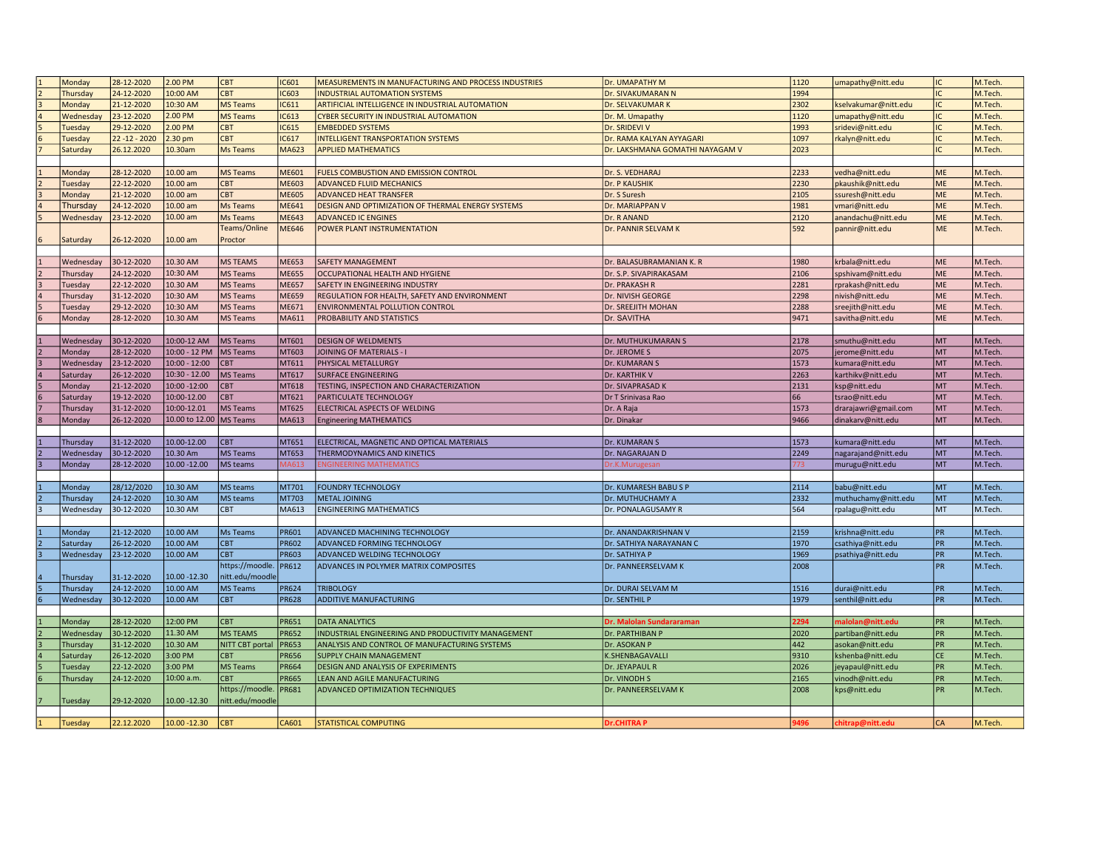|    | Monday    | 28-12-2020     | 2.00 PM                 | <b>CBT</b>      | IC601        | MEASUREMENTS IN MANUFACTURING AND PROCESS INDUSTRIES | Dr. UMAPATHY M                  | 1120        | umapathy@nitt.edu                     | IC.        | M.Tech  |
|----|-----------|----------------|-------------------------|-----------------|--------------|------------------------------------------------------|---------------------------------|-------------|---------------------------------------|------------|---------|
|    | Thursday  | 24-12-2020     | 10:00 AM                | <b>CBT</b>      | C603         | <b>INDUSTRIAL AUTOMATION SYSTEMS</b>                 | Dr. SIVAKUMARAN N               | 1994        |                                       | IC         | M.Tech. |
|    | Monday    | 21-12-2020     | 10:30 AM                | <b>MS Teams</b> | IC611        | ARTIFICIAL INTELLIGENCE IN INDUSTRIAL AUTOMATION     | Dr. SELVAKUMAR K                | 2302        | kselvakumar@nitt.edu                  | IC.        | M.Tech. |
|    | Wednesday | 23-12-2020     | 2.00 PM                 | <b>MS Teams</b> | IC613        | <b>CYBER SECURITY IN INDUSTRIAL AUTOMATION</b>       | Dr. M. Umapathy                 | 1120        | umapathy@nitt.edu                     | IC.        | M.Tech. |
|    | Tuesday   | 29-12-2020     | 2.00 PM                 | <b>CBT</b>      | IC615        | <b>EMBEDDED SYSTEMS</b>                              | Dr. SRIDEVI V                   | 1993        | sridevi@nitt.edu                      | IC.        | M.Tech. |
| l6 | Tuesday   | 22 - 12 - 2020 | 2.30 pm                 | <b>CBT</b>      | IC617        | <b>INTELLIGENT TRANSPORTATION SYSTEMS</b>            | Dr. RAMA KALYAN AYYAGARI        | 1097        | rkalyn@nitt.edu                       | IC.        | M.Tech  |
|    | Saturday  | 26.12.2020     | 10.30am                 | <b>Ms Teams</b> | MA623        | <b>APPLIED MATHEMATICS</b>                           | Dr. LAKSHMANA GOMATHI NAYAGAM V | 2023        |                                       | IC.        | M.Tech. |
|    |           |                |                         |                 |              |                                                      |                                 |             |                                       |            |         |
|    | Monday    | 28-12-2020     | 10.00 am                | <b>MS Teams</b> | ME601        | FUELS COMBUSTION AND EMISSION CONTROL                | Dr. S. VEDHARAJ                 | 2233        | vedha@nitt.edu                        | ME         | M.Tech  |
|    | Tuesday   | 22-12-2020     | 10.00 am                | CBT             | ME603        | <b>ADVANCED FLUID MECHANICS</b>                      | Dr. P KAUSHIK                   | 2230        | pkaushik@nitt.edu                     | <b>ME</b>  | M.Tech. |
|    | Monday    | 21-12-2020     | 10.00 am                | <b>CBT</b>      | <b>ME605</b> | <b>ADVANCED HEAT TRANSFER</b>                        | Dr. S Suresh                    | 2105        | ssuresh@nitt.edu                      | ME         | M.Tech. |
|    | Thursday  | 24-12-2020     | 10.00 am                | Ms Teams        | ME641        | DESIGN AND OPTIMIZATION OF THERMAL ENERGY SYSTEMS    | Dr. MARIAPPAN V                 | 1981        | vmari@nitt.edu                        | <b>ME</b>  | M.Tech. |
|    | Wednesday | 23-12-2020     | 10.00 am                | <b>Ms Teams</b> | ME643        | <b>ADVANCED IC ENGINES</b>                           | Dr. R ANAND                     | 2120        | anandachu@nitt.edu                    | ME         | M.Tech. |
|    |           |                |                         | Teams/Online    | ME646        | POWER PLANT INSTRUMENTATION                          | Dr. PANNIR SELVAM K             | 592         | pannir@nitt.edu                       | <b>ME</b>  | M.Tech. |
|    | Saturday  | 26-12-2020     | $10.00$ am              | Proctor         |              |                                                      |                                 |             |                                       |            |         |
|    |           |                |                         |                 |              |                                                      |                                 |             |                                       |            |         |
|    | Wednesday | 30-12-2020     | 10.30 AM                | <b>MS TEAMS</b> | ME653        | <b>SAFETY MANAGEMENT</b>                             | Dr. BALASUBRAMANIAN K. R        | 1980        | krbala@nitt.edu                       | <b>ME</b>  | M.Tech. |
|    | Thursday  | 24-12-2020     | 10:30 AM                | <b>MS Teams</b> | <b>ME655</b> | OCCUPATIONAL HEALTH AND HYGIENE                      | Dr. S.P. SIVAPIRAKASAM          | 2106        | spshivam@nitt.edu                     | ME         | M.Tech. |
|    | Tuesday   | 22-12-2020     | 10.30 AM                | <b>MS Teams</b> | ME657        | SAFETY IN ENGINEERING INDUSTRY                       | Dr. PRAKASH R                   | 2281        | rprakash@nitt.edu                     | ME         | M.Tech. |
|    | Thursday  | 31-12-2020     | 10:30 AM                | <b>MS Teams</b> | ME659        | REGULATION FOR HEALTH, SAFETY AND ENVIRONMENT        | Dr. NIVISH GEORGE               | 2298        | nivish@nitt.edu                       | ME         | M.Tech. |
|    | Tuesday   | 29-12-2020     | 10:30 AM                | <b>MS Teams</b> | ME671        | <b>ENVIRONMENTAL POLLUTION CONTROL</b>               | Dr. SREEJITH MOHAN              | 2288        |                                       | ME         | M.Tech. |
|    | Monday    | 28-12-2020     | 10.30 AM                | <b>MS Teams</b> | MA611        | <b>PROBABILITY AND STATISTICS</b>                    | Dr. SAVITHA                     | 9471        | sreejith@nitt.edu<br>savitha@nitt.edu | ME         | M.Tech  |
|    |           |                |                         |                 |              |                                                      |                                 |             |                                       |            |         |
|    | Wednesday | 30-12-2020     | 10:00-12 AM             | <b>MS Teams</b> | MT601        | <b>DESIGN OF WELDMENTS</b>                           | Dr. MUTHUKUMARAN S              | 2178        | smuthu@nitt.edu                       | MT         | M.Tech. |
|    |           | 28-12-2020     | 10:00 - 12 PM           |                 | MT603        |                                                      |                                 | 2075        |                                       | MT         |         |
|    | Monday    |                |                         | MS Teams        |              | JOINING OF MATERIALS - I                             | Dr. JEROME S                    |             | jerome@nitt.edu                       |            | M.Tech. |
|    | Wednesday | 23-12-2020     | $10:00 - 12:00$         | CBT             | MT611        | PHYSICAL METALLURGY                                  | Dr. KUMARAN S                   | 1573        | kumara@nitt.edu                       | MT         | M.Tech. |
|    | Saturday  | 26-12-2020     | 10:30 - 12.00           | <b>MS Teams</b> | MT617        | <b>SURFACE ENGINEERING</b>                           | Dr. KARTHIK V                   | 2263        | karthikv@nitt.edu                     | Імт        | M.Tech. |
|    | Monday    | 21-12-2020     | 10:00 -12:00            | <b>CBT</b>      | MT618        | TESTING, INSPECTION AND CHARACTERIZATION             | Dr. SIVAPRASAD K                | 2131        | ksp@nitt.edu                          | MT         | M.Tech  |
|    | Saturday  | 19-12-2020     | 10:00-12.00             | <b>CBT</b>      | MT621        | PARTICULATE TECHNOLOGY                               | Dr T Srinivasa Rao              | 66          | tsrao@nitt.edu                        | MT         | M.Tech  |
|    | Thursday  | 31-12-2020     | 10:00-12.01             | <b>MS Teams</b> | MT625        | ELECTRICAL ASPECTS OF WELDING                        | Dr. A Raja                      | 1573        | drarajawri@gmail.com                  | MT         | M.Tech  |
|    | Monday    | 26-12-2020     | 10.00 to 12.00 MS Teams |                 | MA613        | <b>Engineering MATHEMATICS</b>                       | Dr. Dinakar                     | 9466        | dinakarv@nitt.edu                     | MT         | M.Tech. |
|    |           |                |                         |                 |              |                                                      |                                 |             |                                       |            |         |
|    | Thursday  | 31-12-2020     | 10.00-12.00             | <b>CBT</b>      | MT651        | ELECTRICAL, MAGNETIC AND OPTICAL MATERIALS           | Dr. KUMARAN S                   | 1573        | kumara@nitt.edu                       | <b>MT</b>  | M.Tech. |
|    | Wednesday | 30-12-2020     | 10.30 Am                | <b>MS Teams</b> | MT653        | THERMODYNAMICS AND KINETICS                          | Dr. NAGARAJAN D                 | 2249        | nagarajand@nitt.edu                   | <b>MT</b>  | M.Tech. |
|    | Monday    | 28-12-2020     | 10.00 - 12.00           | MS teams        | <b>MA613</b> | <b>ENGINEERING MATHEMATICS</b>                       | Dr.K.Murugesan                  | 773         | murugu@nitt.edu                       | MT         | M.Tech. |
|    |           |                |                         |                 |              |                                                      |                                 |             |                                       |            |         |
|    | Monday    | 28/12/2020     | 10.30 AM                | MS teams        | MT701        | <b>FOUNDRY TECHNOLOGY</b>                            | Dr. KUMARESH BABU S P           | 2114        | babu@nitt.edu                         | MT         | M.Tech. |
|    | Thursday  | 24-12-2020     | 10.30 AM                | MS teams        | MT703        | METAL JOINING                                        | Dr. MUTHUCHAMY A                | 2332        | muthuchamy@nitt.edu                   | <b>MT</b>  | M.Tech. |
|    | Wednesday | 30-12-2020     | 10.30 AM                | <b>CBT</b>      | MA613        | <b>ENGINEERING MATHEMATICS</b>                       | Dr. PONALAGUSAMY R              | 564         | rpalagu@nitt.edu                      | <b>MT</b>  | M.Tech  |
|    |           |                |                         |                 |              |                                                      |                                 |             |                                       |            |         |
|    | Monday    | 21-12-2020     | 10.00 AM                | Ms Teams        | PR601        | <b>ADVANCED MACHINING TECHNOLOGY</b>                 | Dr. ANANDAKRISHNAN V            | 2159        | krishna@nitt.edu                      | <b>IPR</b> | M.Tech. |
|    | Saturday  | 26-12-2020     | 10.00 AM                | <b>CBT</b>      | <b>PR602</b> | <b>ADVANCED FORMING TECHNOLOGY</b>                   | Dr. SATHIYA NARAYANAN C         | 1970        | csathiya@nitt.edu                     | PR         | M.Tech. |
|    | Wednesday | 23-12-2020     | 10.00 AM                | <b>CBT</b>      | <b>PR603</b> | ADVANCED WELDING TECHNOLOGY                          | Dr. SATHIYA P                   | 1969        | psathiya@nitt.edu                     | PR         | M.Tech. |
|    |           |                |                         | https://moodle. | <b>PR612</b> | ADVANCES IN POLYMER MATRIX COMPOSITES                | Dr. PANNEERSELVAM K             | 2008        |                                       | PR         | M.Tech. |
|    | Thursday  | 31-12-2020     | 10.00 - 12.30           | nitt.edu/moodle |              |                                                      |                                 |             |                                       |            |         |
|    | Thursday  | 24-12-2020     | 10.00 AM                | <b>MS Teams</b> | PR624        | <b>TRIBOLOGY</b>                                     | Dr. DURAI SELVAM M              | 1516        | durai@nitt.edu                        | <b>IPR</b> | M.Tech. |
|    | Wednesday | 30-12-2020     | 10.00 AM                | <b>CBT</b>      | <b>PR628</b> | <b>ADDITIVE MANUFACTURING</b>                        | Dr. SENTHIL P                   | 1979        | senthil@nitt.edu                      | PR         | M.Tech  |
|    |           |                |                         |                 |              |                                                      |                                 |             |                                       |            |         |
|    | Monday    | 28-12-2020     | 12:00 PM                | <b>CBT</b>      | <b>PR651</b> | <b>DATA ANALYTICS</b>                                | Dr. Malolan Sundararaman        | 2294        | malolan@nitt.edu                      | <b>PR</b>  | M.Tech. |
|    | Wednesday | 30-12-2020     | 11.30 AM                | <b>MS TEAMS</b> | <b>PR652</b> | INDUSTRIAL ENGINEERING AND PRODUCTIVITY MANAGEMENT   | Dr. PARTHIBAN P                 | 2020        | partiban@nitt.edu                     | PR         | M.Tech. |
|    | Thursday  | 31-12-2020     | 10.30 AM                | NITT CBT portal | <b>PR653</b> | ANALYSIS AND CONTROL OF MANUFACTURING SYSTEMS        | Dr. ASOKAN P                    | 442         | asokan@nitt.edu                       | PR         | M.Tech. |
|    | Saturday  | 26-12-2020     | 3:00 PM                 | <b>CBT</b>      | <b>PR656</b> | <b>SUPPLY CHAIN MANAGEMENT</b>                       | K.SHENBAGAVALLI                 | 9310        | kshenba@nitt.edu                      | CE         | M.Tech  |
|    | Tuesday   | 22-12-2020     | 3:00 PM                 | MS Teams        | <b>PR664</b> | <b>DESIGN AND ANALYSIS OF EXPERIMENTS</b>            | Dr. JEYAPAUL R                  | 2026        | jeyapaul@nitt.edu                     | PR         | M.Tech  |
|    | Thursday  | 24-12-2020     | 10:00 a.m.              | <b>CBT</b>      | <b>PR665</b> | LEAN AND AGILE MANUFACTURING                         | Dr. VINODH S                    | 2165        | vinodh@nitt.edu                       | <b>PR</b>  | M.Tech  |
|    |           |                |                         | https://moodle. | <b>PR681</b> | ADVANCED OPTIMIZATION TECHNIQUES                     | Dr. PANNEERSELVAM K             | 2008        | kps@nitt.edu                          | PR         | M.Tech. |
|    | Tuesday   | 29-12-2020     | 10.00 - 12.30           | nitt.edu/moodle |              |                                                      |                                 |             |                                       |            |         |
|    |           |                |                         |                 |              |                                                      |                                 |             |                                       |            |         |
|    | Tuesday   | 22.12.2020     | 10.00 - 12.30           | <b>CBT</b>      | CA601        | <b>STATISTICAL COMPUTING</b>                         | <b>Dr.CHITRAP</b>               | <b>9496</b> | chitrap@nitt.edu                      | <b>CA</b>  | M.Tech. |